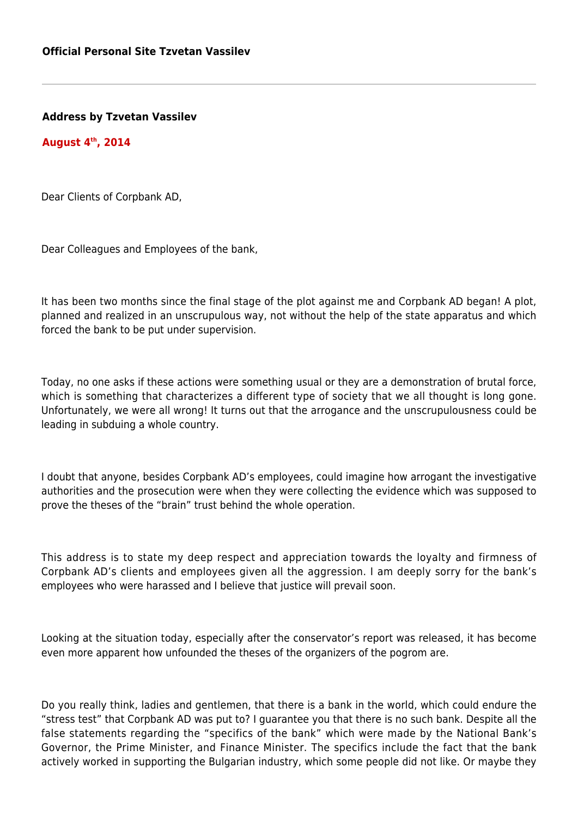**Address by Tzvetan Vassilev**

**August 4th, 2014**

Dear Clients of Corpbank AD,

Dear Colleagues and Employees of the bank,

It has been two months since the final stage of the plot against me and Corpbank AD began! A plot, planned and realized in an unscrupulous way, not without the help of the state apparatus and which forced the bank to be put under supervision.

Today, no one asks if these actions were something usual or they are a demonstration of brutal force, which is something that characterizes a different type of society that we all thought is long gone. Unfortunately, we were all wrong! It turns out that the arrogance and the unscrupulousness could be leading in subduing a whole country.

I doubt that anyone, besides Corpbank AD's employees, could imagine how arrogant the investigative authorities and the prosecution were when they were collecting the evidence which was supposed to prove the theses of the "brain" trust behind the whole operation.

This address is to state my deep respect and appreciation towards the loyalty and firmness of Corpbank AD's clients and employees given all the aggression. I am deeply sorry for the bank's employees who were harassed and I believe that justice will prevail soon.

Looking at the situation today, especially after the conservator's report was released, it has become even more apparent how unfounded the theses of the organizers of the pogrom are.

Do you really think, ladies and gentlemen, that there is a bank in the world, which could endure the "stress test" that Corpbank AD was put to? I guarantee you that there is no such bank. Despite all the false statements regarding the "specifics of the bank" which were made by the National Bank's Governor, the Prime Minister, and Finance Minister. The specifics include the fact that the bank actively worked in supporting the Bulgarian industry, which some people did not like. Or maybe they